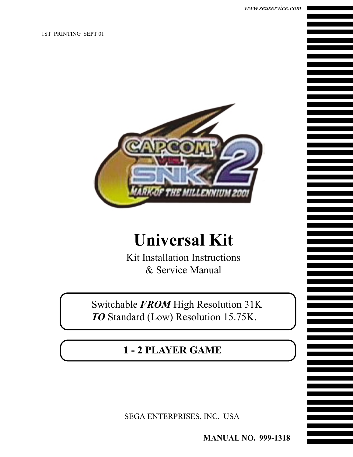1ST PRINTING SEPT 01



## **Universal Kit**

Kit Installation Instructions & Service Manual

Switchable *FROM* High Resolution 31K *TO* Standard (Low) Resolution 15.75K.

**1 - 2 PLAYER GAME**

SEGA ENTERPRISES, INC. USA

**MANUAL NO. 999-1318**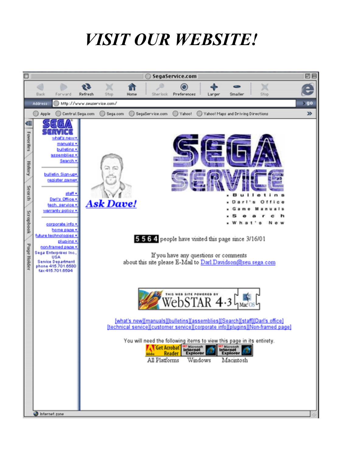## *VISIT OUR WEBSITE!*

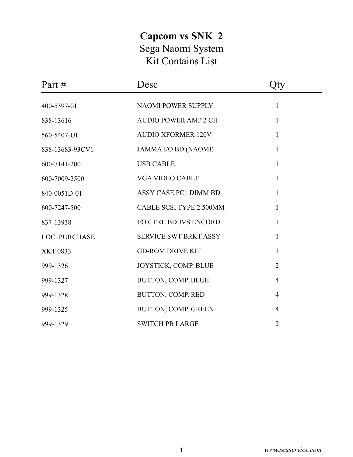## **Capcom vs SNK 2** Sega Naomi System Kit Contains List

| Part #<br>Desc       |                                | Qty            |  |
|----------------------|--------------------------------|----------------|--|
| 400-5397-01          | NAOMI POWER SUPPLY             | $\mathbf{1}$   |  |
| 838-13616            | <b>AUDIO POWER AMP 2 CH</b>    | $\mathbf{1}$   |  |
| 560-5407-UL          | <b>AUDIO XFORMER 120V</b>      | $\mathbf{1}$   |  |
| 838-13683-93CV1      | JAMMA I/O BD (NAOMI)           | $\mathbf{1}$   |  |
| 600-7141-200         | <b>USB CABLE</b>               | $\mathbf{1}$   |  |
| 600-7009-2500        | <b>VGA VIDEO CABLE</b>         | $\mathbf{1}$   |  |
| 840-0051D-01         | ASSY CASE PC1 DIMM BD          | $\mathbf{1}$   |  |
| 600-7247-500         | <b>CABLE SCSI TYPE 2 500MM</b> | $\mathbf{1}$   |  |
| 837-13938            | I/O CTRL BD JVS ENCORD.        | $\mathbf{1}$   |  |
| <b>LOC. PURCHASE</b> | <b>SERVICE SWT BRKT ASSY</b>   | $\mathbf{1}$   |  |
| <b>XKT-0833</b>      | <b>GD-ROM DRIVE KIT</b>        | $\mathbf{1}$   |  |
| 999-1326             | JOYSTICK, COMP. BLUE           | $\overline{2}$ |  |
| 999-1327             | BUTTON, COMP. BLUE             | $\overline{4}$ |  |
| 999-1328             | BUTTON, COMP. RED              | $\overline{4}$ |  |
| 999-1325             | BUTTON, COMP. GREEN            | $\overline{4}$ |  |
| 999-1329             | <b>SWITCH PB LARGE</b>         | $\overline{2}$ |  |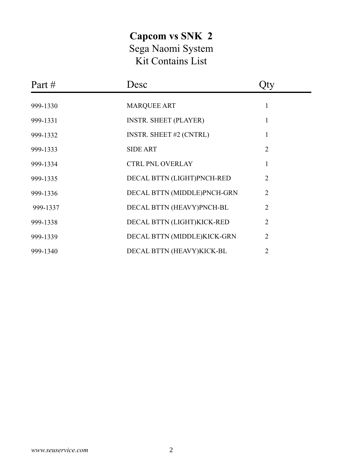## **Capcom vs SNK 2** Sega Naomi System Kit Contains List

| Desc<br>Part # |                                |                |  |
|----------------|--------------------------------|----------------|--|
| 999-1330       | <b>MARQUEE ART</b>             | 1              |  |
| 999-1331       | <b>INSTR. SHEET (PLAYER)</b>   | 1              |  |
| 999-1332       | <b>INSTR. SHEET #2 (CNTRL)</b> | 1              |  |
| 999-1333       | <b>SIDE ART</b>                | $\overline{2}$ |  |
| 999-1334       | <b>CTRL PNL OVERLAY</b>        |                |  |
| 999-1335       | DECAL BTTN (LIGHT)PNCH-RED     | $\overline{2}$ |  |
| 999-1336       | DECAL BTTN (MIDDLE)PNCH-GRN    | $\overline{2}$ |  |
| 999-1337       | DECAL BTTN (HEAVY)PNCH-BL      | $\overline{2}$ |  |
| 999-1338       | DECAL BTTN (LIGHT)KICK-RED     | 2              |  |
| 999-1339       | DECAL BTTN (MIDDLE)KICK-GRN    | $\overline{2}$ |  |
| 999-1340       | DECAL BTTN (HEAVY)KICK-BL      | 2              |  |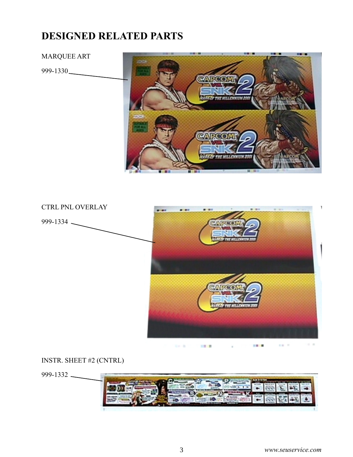## **DESIGNED RELATED PARTS**

#### MARQUEE ART

999-1330





### INSTR. SHEET #2 (CNTRL)

999-1332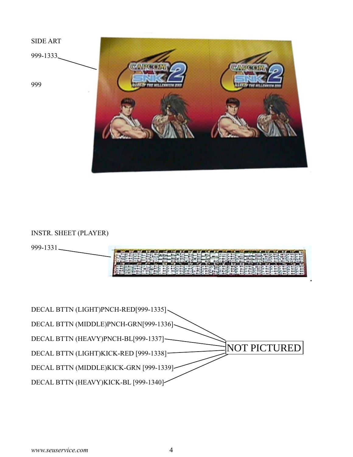

## INSTR. SHEET (PLAYER)



| DECAL BTTN (LIGHT)PNCH-RED[999-1335]   |                     |
|----------------------------------------|---------------------|
| DECAL BTTN (MIDDLE)PNCH-GRN[999-1336]~ |                     |
| DECAL BTTN (HEAVY)PNCH-BL[999-1337]-   |                     |
| DECAL BTTN (LIGHT)KICK-RED [999-1338]- | <b>NOT PICTURED</b> |
| DECAL BTTN (MIDDLE)KICK-GRN [999-1339] |                     |
| DECAL BTTN (HEAVY)KICK-BL [999-1340]   |                     |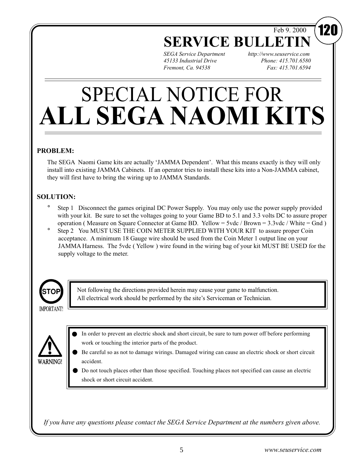Feb 9. 2000

## **SERVICE BULL**

*SEGA Service Department http://www.seuservice.com 45133 Industrial Drive Phone: 415.701.6580 Fremont, Ca. 94538 Fax: 415.701.6594*

# SPECIAL NOTICE FOR **ALL SEGA NAOMI KITS**

### **PROBLEM:**

The SEGA Naomi Game kits are actually 'JAMMA Dependent'. What this means exactly is they will only install into existing JAMMA Cabinets. If an operator tries to install these kits into a Non-JAMMA cabinet, they will first have to bring the wiring up to JAMMA Standards.

## **SOLUTION:**

- Step 1 Disconnect the games original DC Power Supply. You may only use the power supply provided with your kit. Be sure to set the voltages going to your Game BD to 5.1 and 3.3 volts DC to assure proper operation ( Measure on Square Connector at Game BD. Yellow = 5vdc / Brown = 3.3vdc / White = Gnd )
- Step 2 You MUST USE THE COIN METER SUPPLIED WITH YOUR KIT to assure proper Coin acceptance. A minimum 18 Gauge wire should be used from the Coin Meter 1 output line on your JAMMA Harness. The 5vdc ( Yellow ) wire found in the wiring bag of your kit MUST BE USED for the supply voltage to the meter.



Not following the directions provided herein may cause your game to malfunction. All electrical work should be performed by the site's Serviceman or Technician.

**WARNING!** 

- In order to prevent an electric shock and short circuit, be sure to turn power off before performing work or touching the interior parts of the product.
- Be careful so as not to damage wirings. Damaged wiring can cause an electric shock or short circuit accident.
- Do not touch places other than those specified. Touching places not specified can cause an electric shock or short circuit accident.

*If you have any questions please contact the SEGA Service Department at the numbers given above.*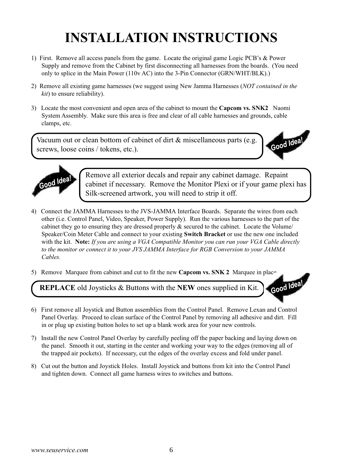## **INSTALLATION INSTRUCTIONS**

- 1) First. Remove all access panels from the game. Locate the original game Logic PCB's & Power Supply and remove from the Cabinet by first disconnecting all harnesses from the boards. (You need only to splice in the Main Power (110v AC) into the 3-Pin Connector (GRN/WHT/BLK).)
- 2) Remove all existing game harnesses (we suggest using New Jamma Harnesses (*NOT contained in the kit*) to ensure reliability).
- 3) Locate the most convenient and open area of the cabinet to mount the **Capcom vs. SNK2** Naomi System Assembly. Make sure this area is free and clear of all cable harnesses and grounds, cable clamps, etc.

Vacuum out or clean bottom of cabinet of dirt & miscellaneous parts (e.g. screws, loose coins / tokens, etc.).





Remove all exterior decals and repair any cabinet damage. Repaint cabinet if necessary. Remove the Monitor Plexi or if your game plexi has Silk-screened artwork, you will need to strip it off.

- 4) Connect the JAMMA Harnesses to the JVS-JAMMA Interface Boards. Separate the wires from each other (i.e. Control Panel, Video, Speaker, Power Supply). Run the various harnesses to the part of the cabinet they go to ensuring they are dressed properly & secured to the cabinet. Locate the Volume/ Speaker/Coin Meter Cable and connect to your existing **Switch Bracket** or use the new one included with the kit. **Note:** *If you are using a VGA Compatible Monitor you can run your VGA Cable directly to the monitor or connect it to your JVS JAMMA Interface for RGB Conversion to your JAMMA Cables.*
- 5) Remove Marquee from cabinet and cut to fit the new **Capcom vs. SNK 2** Marquee in place.

**REPLACE** old Joysticks & Buttons with the **NEW** ones supplied in Kit.



- 6) First remove all Joystick and Button assemblies from the Control Panel. Remove Lexan and Control Panel Overlay. Proceed to clean surface of the Control Panel by removing all adhesive and dirt. Fill in or plug up existing button holes to set up a blank work area for your new controls.
- 7) Install the new Control Panel Overlay by carefully peeling off the paper backing and laying down on the panel. Smooth it out, starting in the center and working your way to the edges (removing all of the trapped air pockets). If necessary, cut the edges of the overlay excess and fold under panel.
- 8) Cut out the button and Joystick Holes. Install Joystick and buttons from kit into the Control Panel and tighten down. Connect all game harness wires to switches and buttons.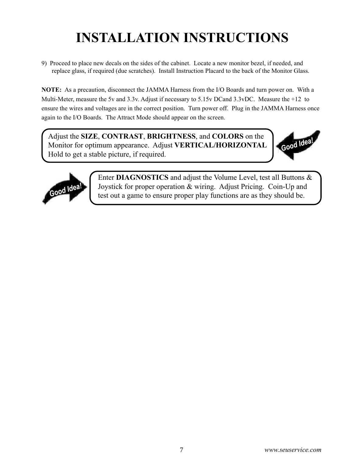## **INSTALLATION INSTRUCTIONS**

9) Proceed to place new decals on the sides of the cabinet. Locate a new monitor bezel, if needed, and replace glass, if required (due scratches). Install Instruction Placard to the back of the Monitor Glass.

**NOTE:** As a precaution, disconnect the JAMMA Harness from the I/O Boards and turn power on. With a Multi-Meter, measure the 5v and 3.3v. Adjust if necessary to 5.15v DCand 3.3vDC. Measure the +12 to ensure the wires and voltages are in the correct position. Turn power off. Plug in the JAMMA Harness once again to the I/O Boards. The Attract Mode should appear on the screen.

Adjust the **SIZE**, **CONTRAST**, **BRIGHTNESS**, and **COLORS** on the Monitor for optimum appearance. Adjust **VERTICAL/HORIZONTAL** Hold to get a stable picture, if required.





Enter **DIAGNOSTICS** and adjust the Volume Level, test all Buttons & Joystick for proper operation & wiring. Adjust Pricing. Coin-Up and test out a game to ensure proper play functions are as they should be.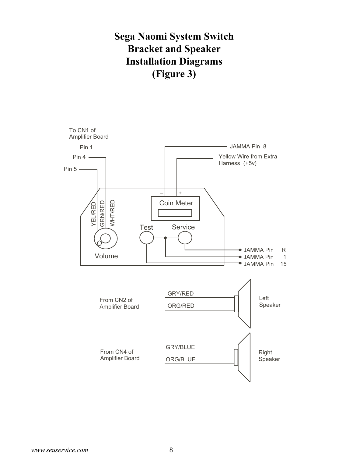## **Sega Naomi System Switch Bracket and Speaker Installation Diagrams (Figure 3)**

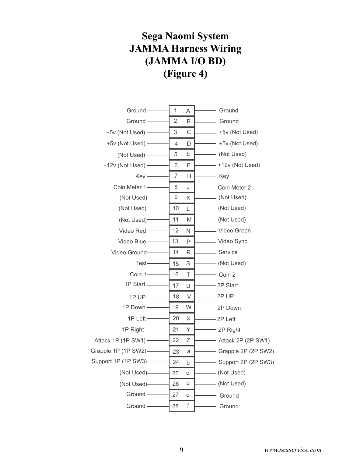## **Sega Naomi System JAMMA Harness Wiring (JAMMA I/O BD) (Figure 4)**

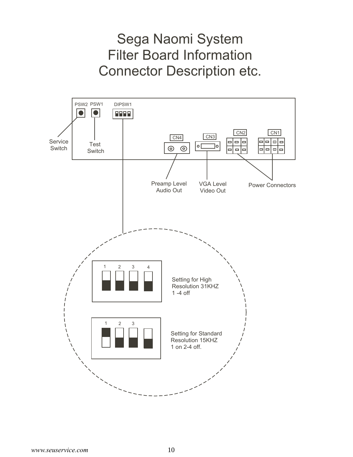## Sega Naomi System Filter Board Information Connector Description etc.

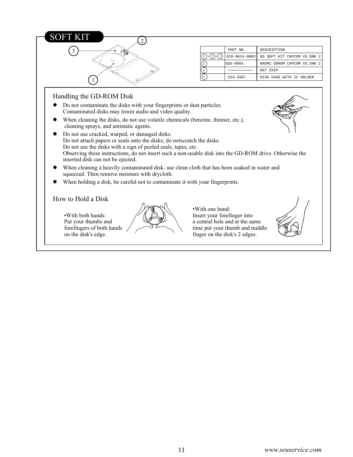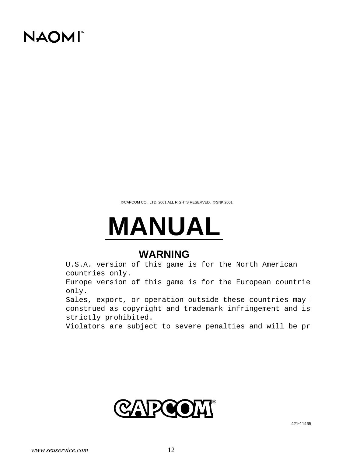## **NAOMI**

©CAPCOM CO., LTD. 2001 ALL RIGHTS RESERVED. ©SNK 2001

# **MANUAL**

## **WARNING**

U.S.A. version of this game is for the North American countries only.

Europe version of this game is for the European countrie; only.

Sales, export, or operation outside these countries may l construed as copyright and trademark infringement and is strictly prohibited.

Violators are subject to severe penalties and will be pro

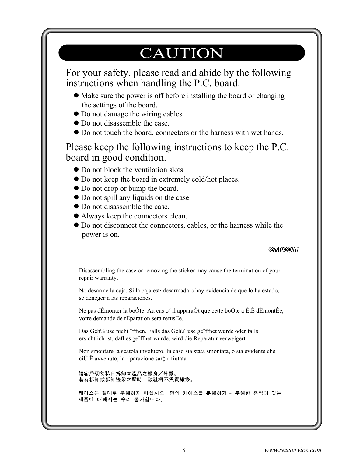## CAUTION

For your safety, please read and abide by the following instructions when handling the P.C. board.

- Make sure the power is off before installing the board or changing N the settings of the board.
- Do not damage the wiring cables.
- Do not disassemble the case.
- Do not touch the board, connectors or the harness with wet hands.

Please keep the following instructions to keep the P.C. board in good condition.

- Do not block the ventilation slots.
- Do not keep the board in extremely cold/hot places.
- Do not drop or bump the board.
- Do not spill any liquids on the case.
- Do not disassemble the case.
- Always keep the connectors clean.
- $\bullet$  Do not disconnect the connectors, cables, or the harness while the power is on.

## **CARCOH**

Disassembling the case or removing the sticker may cause the termination of your repair warranty. No desarme la caja. Si la caja est· desarmada o hay evidencia de que lo ha estado, se deneger·n las reparaciones. Ne pas dÈmonter la boÓte. Au cas o˘ il apparaÓt que cette boÓte a ÈtÈ dÈmontÈe, votre demande de rÈparation sera refusÈe. Das Geh‰use nicht ˆffnen. Falls das Geh‰use geˆffnet wurde oder falls ersichtlich ist, dafl es geˆffnet wurde, wird die Reparatur verweigert. Non smontare la scatola involucro. In caso sia stata smontata, o sia evidente che ciÚ Ë avvenuto, la riparazione sar‡ rifiutata請客戶切勿私自拆卸本產品之機身/外殼。 若有拆卸或拆卸迹象之疑時,敝社概不負責維修。 케이스는 절대로 분해하지 마십시오. 만약 케이스를 분해하거나 분해한 흔적이 있는 제품에 대해서는 수리 불가합니다.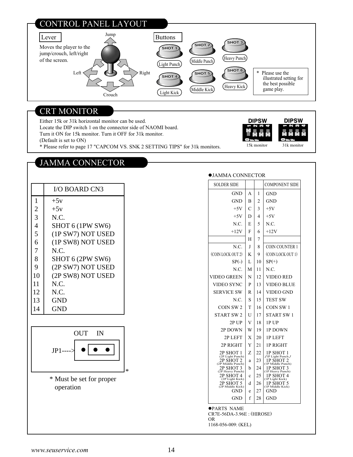## CONTROL PANEL LAYOUT



### CRT MONITOR

Either 15k or 31k horizontal monitor can be used. Locate the DIP switch 1 on the connector side of NAOMI board.

Turn it ON for 15k monitor. Turn it OFF for 31k monitor.

(Default is set to ON)

\* Please refer to page 17 "CAPCOM VS. SNK 2 SETTING TIPS" for 31k monitors.

**DIPSW** 

15k monitor 31k monitor

**DIPSW** 

#### SOLDER SIDE | COMPONENT SIDE JAMMA CONNECTOR GND **GND**  $+5V$  $+5V$ N.C.  $+12V$ N.C. (COIN LOCK OUT 2)  $SP(-)$ N.C. VIDEO GREEN VIDEO SYNC SERVICE SW N.C. COIN SW 2 START SW 2 2P UP 2P DOWN 2P LEFT 2P RIGHT 2P SHOT 1 2P SHOT 2 (2P Light Punch) 2P SHOT 3 (2P Heavy Punch) 2P SHOT 4 (2P Light Kick) 2P SHOT 5 (2P Middle Kick) GND GND A B C D E F H J K L M N P R S T U V W X Y Z a b c d e f 1 2 3 4 5 6 7 8 9 10 11 12 13 14 15 16 17 18 19 20 21 22 23 24 25 26 27 28 **GND GND**  $+5V$  $+5V$ N.C.  $+12V$ COIN COUNTER 1 (COIN LOCK OUT 1)  $SP(+)$ N.C. VIDEO RED VIDEO BLUE VIDEO GND TEST SW COIN SW 1 START SW 1 1P UP 1P DOWN 1P LEFT 1P RIGHT 1P SHOT 1 1P SHOT 2 (1P Light Punch) 1P SHOT 3 (1P Heavy Punch) 1P SHOT 4 (1P Light Kick) 1P SHOT 5 (1P Middle Kick) GND **GND** (2P Middle Punch) (1P Middle Punch)

PARTS NAME

CR7E-56DA-3.96E : (HIROSE) OR 1168-056-009: (KEL)

JAMMA CONNECTOR

|                | <b>I/O BOARD CN3</b> |
|----------------|----------------------|
| 1              | $+5v$                |
| $\overline{2}$ | $+5v$                |
| $\overline{3}$ | N.C.                 |
| $\overline{4}$ | SHOT 6 (1PW SW6)     |
| 5              | (1P SW7) NOT USED    |
| 6              | (1P SW8) NOT USED    |
| 7              | N.C.                 |
| 8              | SHOT 6 (2PW SW6)     |
| 9              | (2P SW7) NOT USED    |
| 10             | (2P SW8) NOT USED    |
| 11             | N.C.                 |
| 12             | N.C.                 |
| 13             | GND                  |
| 14             | GND)                 |



 \* Must be set for proper operation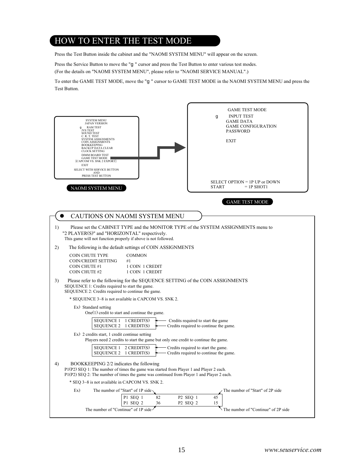## HOW TO ENTER THE TEST MODE

Press the Test Button inside the cabinet and the "NAOMI SYSTEM MENU" will appear on the screen.

Press the Service Button to move the "g " cursor and press the Test Button to enter various test modes. (For the details on "NAOMI SYSTEM MENU", please refer to "NAOMI SERVICE MANUAL".)

To enter the GAME TEST MODE, move the "g " cursor to GAME TEST MODE in the NAOMI SYSTEM MENU and press the Test Button.

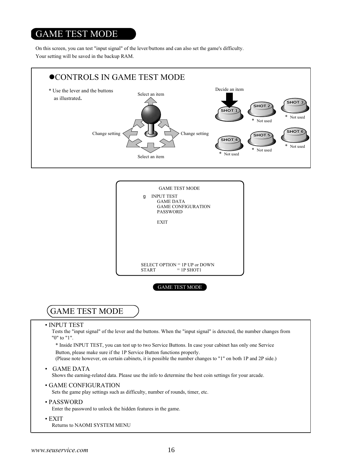## GAME TEST MODE

On this screen, you can test "input signal" of the lever/buttons and can also set the game's difficulty. Your setting will be saved in the backup RAM.





## GAME TEST MODE

#### • INPUT TEST

Tests the "input signal" of the lever and the buttons. When the "input signal" is detected, the number changes from "0" to "1".

\* Inside INPUT TEST, you can test up to two Service Buttons. In case your cabinet has only one Service Button, please make sure if the 1P Service Button functions properly.

(Please note however, on certain cabinets, it is possible the number changes to "1" on both 1P and 2P side.)

• GAME DATA

Shows the earning-related data. Please use the info to determine the best coin settings for your arcade.

• GAME CONFIGURATION

Sets the game play settings such as difficulty, number of rounds, timer, etc.

#### • PASSWORD

Enter the password to unlock the hidden features in the game.

• EXIT Returns to NAOMI SYSTEM MENU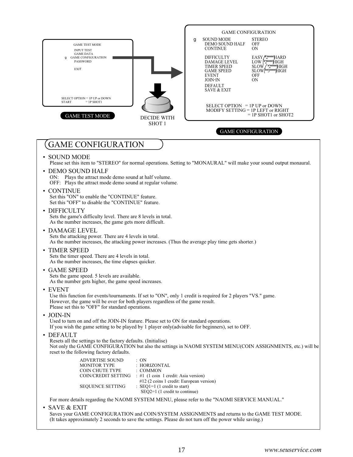| <b>INPUT TEST</b><br><b>GAME DATA</b><br><b>GAME CONFIGURATION</b><br>q<br><b>PASSWORD</b><br><b>EXIT</b>                                                                                                                                                             | <b>CONTINUE</b><br>0 <sub>N</sub><br>EASY /*2****HARD<br>LOW [*2****HIGH<br><b>DIFFICULTY</b><br>DAMAGE LEVEL<br>SLOW / *2***HIGH<br><b>TIMER SPEED</b><br>SLOW[**3***HIGH<br><b>GAME SPEED</b><br><b>EVENT</b><br><b>OFF</b><br>0N<br>JOIN-IN |
|-----------------------------------------------------------------------------------------------------------------------------------------------------------------------------------------------------------------------------------------------------------------------|------------------------------------------------------------------------------------------------------------------------------------------------------------------------------------------------------------------------------------------------|
|                                                                                                                                                                                                                                                                       | <b>DEFAULT</b><br><b>SAVE &amp; EXIT</b>                                                                                                                                                                                                       |
| SELECT OPTION = 1P UP or DOWN<br><b>START</b><br>$=$ 1P SHOT1                                                                                                                                                                                                         | SELECT OPTION $=$ 1P UP or DOWN<br>MODIFY SETTING $=$ 1P LEFT or RIGHT                                                                                                                                                                         |
| <b>GAME TEST MODE</b><br><b>DECIDE WITH</b><br>SHOT <sub>1</sub>                                                                                                                                                                                                      | $=$ 1P SHOT1 or SHOT2<br><b>GAME CONFIGURATION</b>                                                                                                                                                                                             |
| <b>GAME CONFIGURATION</b>                                                                                                                                                                                                                                             |                                                                                                                                                                                                                                                |
| • SOUND MODE                                                                                                                                                                                                                                                          | Please set this item to "STEREO" for normal operations. Setting to "MONAURAL" will make your sound output monaural.                                                                                                                            |
| • DEMO SOUND HALF<br>Plays the attract mode demo sound at half volume.<br>ON:<br>OFF: Plays the attract mode demo sound at regular volume.                                                                                                                            |                                                                                                                                                                                                                                                |
| • CONTINUE<br>Set this "ON" to enable the "CONTINUE" feature.<br>Set this "OFF" to disable the "CONTINUE" feature.                                                                                                                                                    |                                                                                                                                                                                                                                                |
| • DIFFICULTY<br>Sets the game's difficulty level. There are 8 levels in total.<br>As the number increases, the game gets more difficult.                                                                                                                              |                                                                                                                                                                                                                                                |
| • DAMAGE LEVEL<br>Sets the attacking power. There are 4 levels in total.<br>As the number increases, the attacking power increases. (Thus the average play time gets shorter.)                                                                                        |                                                                                                                                                                                                                                                |
| • TIMER SPEED<br>Sets the timer speed. There are 4 levels in total.<br>As the number increases, the time elapses quicker.                                                                                                                                             |                                                                                                                                                                                                                                                |
| • GAME SPEED<br>Sets the game speed. 5 levels are available.<br>As the number gets higher, the game speed increases.                                                                                                                                                  |                                                                                                                                                                                                                                                |
| $\cdot$ EVENT<br>Use this function for events/tournaments. If set to "ON", only 1 credit is required for 2 players "VS." game.<br>However, the game will be over for both players regardless of the game result.<br>Please set this to "OFF" for standard operations. |                                                                                                                                                                                                                                                |
| $\bullet$ JOIN-IN<br>Used to turn on and off the JOIN-IN feature. Please set to ON for standard operations.<br>If you wish the game setting to be played by 1 player only (advisable for beginners), set to OFF.                                                      |                                                                                                                                                                                                                                                |
| • DEFAULT<br>Resets all the settings to the factory defaults. (Initialise)<br>reset to the following factory defaults.                                                                                                                                                | Not only the GAME CONFIGURATION but also the settings in NAOMI SYSTEM MENU(COIN ASSIGNMENTS, etc.) will be                                                                                                                                     |
| <b>ADVERTISE SOUND</b><br>: ON<br>: HORIZONTAL<br><b>MONITOR TYPE</b><br><b>COIN CHUTE TYPE</b><br>: COMMON<br>COIN/CREDIT SETTING : #1 (1 coin 1 credit: Asia version)                                                                                               |                                                                                                                                                                                                                                                |
| <b>SEQUENCE SETTING</b><br>$\therefore$ SEQ1=1 (1 credit to start)<br>$SEQ2=1$ (1 credit to continue)                                                                                                                                                                 | #12 (2 coins 1 credit: European version)                                                                                                                                                                                                       |
| For more details regarding the NAOMI SYSTEM MENU, please refer to the "NAOMI SERVICE MANUAL."<br>· SAVE & EXIT                                                                                                                                                        |                                                                                                                                                                                                                                                |

Saves your GAME CONFIGURATION and COIN/SYSTEM ASSIGNMENTS and returns to the GAME TEST MODE. (It takes approximately 2 seconds to save the settings. Please do not turn off the power while saving.)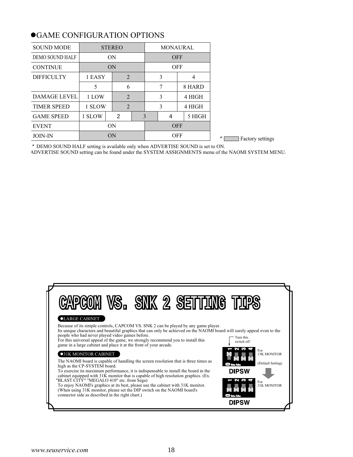| <b>MONAURAL</b><br><b>STEREO</b><br><b>SOUND MODE</b><br><b>ON</b><br><b>OFF</b><br><b>DEMO SOUND HALF</b> |
|------------------------------------------------------------------------------------------------------------|
|                                                                                                            |
|                                                                                                            |
| ON<br><b>OFF</b><br><b>CONTINUE</b>                                                                        |
| <b>DIFFICULTY</b><br>1 EASY<br>2<br>3<br>4                                                                 |
| 8 HARD<br>5<br>6<br>7                                                                                      |
| 4 HIGH<br><b>DAMAGE LEVEL</b><br>1 LOW<br>2<br>3                                                           |
| <b>TIMER SPEED</b><br>1 SLOW<br>4 HIGH<br>3<br>2                                                           |
| <b>GAME SPEED</b><br>1 SLOW<br>2<br>3<br>5 HIGH<br>4                                                       |
| <b>ON</b><br><b>OFF</b><br><b>EVENT</b>                                                                    |
| <b>OFF</b><br>ON<br><b>JOIN-IN</b>                                                                         |

## GAME CONFIGURATION OPTIONS

\* DEMO SOUND HALF setting is available only when ADVERTISE SOUND is set to ON.

ADVERTISE SOUND setting can be found under the SYSTEM ASSIGNMENTS menu of the NAOMI SYSTEM MENU.

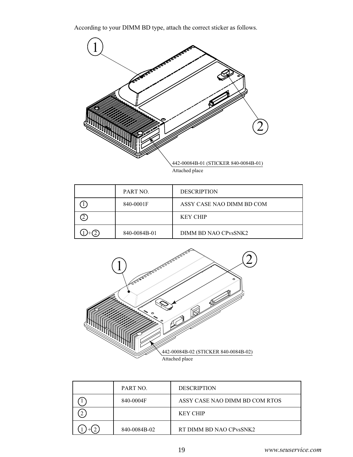According to your DIMM BD type, attach the correct sticker as follows.



| PART NO.     | <b>DESCRIPTION</b>                            |
|--------------|-----------------------------------------------|
| 840-0001F    | ASSY CASE NAO DIMM BD COM                     |
|              | <b>KEY CHIP</b>                               |
| 840-0084B-01 | DIMM BD NAO CP <sub>vs</sub> SNK <sub>2</sub> |



| PART NO.     | <b>DESCRIPTION</b>             |
|--------------|--------------------------------|
| 840-0004F    | ASSY CASE NAO DIMM BD COM RTOS |
|              | <b>KEY CHIP</b>                |
| 840-0084B-02 | RT DIMM BD NAO CPvsSNK2        |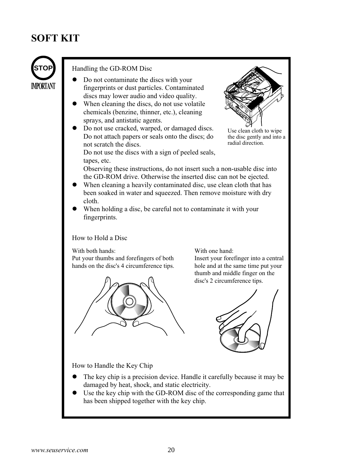## **SOFT KIT**



#### Handling the GD-ROM Disc

- Do not contaminate the discs with your fingerprints or dust particles. Contaminated discs may lower audio and video quality.
- When cleaning the discs, do not use volatile chemicals (benzine, thinner, etc.), cleaning sprays, and antistatic agents.
- Do not use cracked, warped, or damaged discs. Do not attach papers or seals onto the discs; do not scratch the discs.



Use clean cloth to wipe the disc gently and into a radial direction.

Do not use the discs with a sign of peeled seals, tapes, etc.

Observing these instructions, do not insert such a non-usable disc into the GD-ROM drive. Otherwise the inserted disc can not be ejected.

- When cleaning a heavily contaminated disc, use clean cloth that has been soaked in water and squeezed. Then remove moisture with dry cloth.
- When holding a disc, be careful not to contaminate it with your fingerprints.

#### How to Hold a Disc

With both hands:

Put your thumbs and forefingers of both hands on the disc's 4 circumference tips.



With one hand:

Insert your forefinger into a central hole and at the same time put your thumb and middle finger on the disc's 2 circumference tips.



How to Handle the Key Chip

- The key chip is a precision device. Handle it carefully because it may be damaged by heat, shock, and static electricity.
- Use the key chip with the GD-ROM disc of the corresponding game that has been shipped together with the key chip.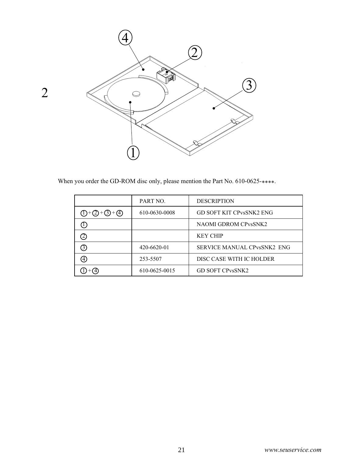

When you order the GD-ROM disc only, please mention the Part No. 610-0625-\*\*\*\*.

|                         | PART NO.      | <b>DESCRIPTION</b>                 |
|-------------------------|---------------|------------------------------------|
| $(1) + (2) + (3) + (4)$ | 610-0630-0008 | <b>GD SOFT KIT CPVSSNK2 ENG</b>    |
|                         |               | <b>NAOMI GDROM CPVSSNK2</b>        |
|                         |               | <b>KEY CHIP</b>                    |
| 3)                      | 420-6620-01   | <b>SERVICE MANUAL CPvsSNK2 ENG</b> |
| 4)                      | 253-5507      | DISC CASE WITH IC HOLDER           |
|                         | 610-0625-0015 | <b>GD SOFT CPvsSNK2</b>            |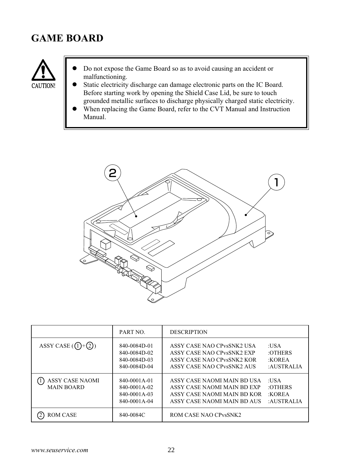## **GAME BOARD**



- Do not expose the Game Board so as to avoid causing an accident or malfunctioning.
- Static electricity discharge can damage electronic parts on the IC Board. Before starting work by opening the Shield Case Lid, be sure to touch grounded metallic surfaces to discharge physically charged static electricity.
- When replacing the Game Board, refer to the CVT Manual and Instruction Manual.



|                                             | PART NO.                                                     | <b>DESCRIPTION</b>                                                                                                                            |                                         |
|---------------------------------------------|--------------------------------------------------------------|-----------------------------------------------------------------------------------------------------------------------------------------------|-----------------------------------------|
| ASSY CASE $(1)+(2)$                         | 840-0084D-01<br>840-0084D-02<br>840-0084D-03<br>840-0084D-04 | ASSY CASE NAO CPvsSNK2 USA<br>ASSY CASE NAO CP <sub>vs</sub> SNK <sub>2</sub> EXP<br>ASSY CASE NAO CPvsSNK2 KOR<br>ASSY CASE NAO CPvsSNK2 AUS | :USA<br>:OTHERS<br>:KOREA<br>:AUSTRALIA |
| <b>ASSY CASE NAOMI</b><br><b>MAIN BOARD</b> | 840-0001A-01<br>840-0001A-02<br>840-0001A-03<br>840-0001A-04 | ASSY CASE NAOMI MAIN BD USA<br>ASSY CASE NAOMI MAIN BD EXP<br>ASSY CASE NAOMI MAIN BD KOR<br>ASSY CASE NAOMI MAIN BD AUS                      | :USA<br>:OTHERS<br>:KOREA<br>:AUSTRALIA |
| <b>ROM CASE</b>                             | 840-0084C                                                    | ROM CASE NAO CP <sub>vs</sub> SNK <sub>2</sub>                                                                                                |                                         |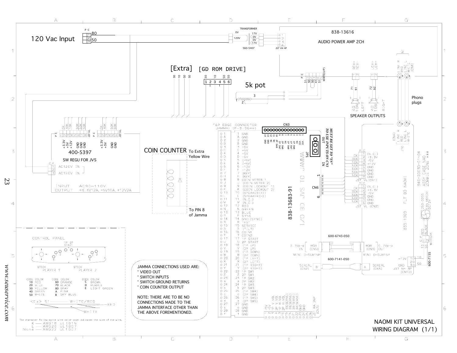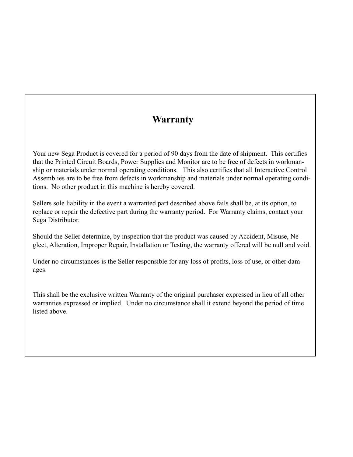## **Warranty**

Your new Sega Product is covered for a period of 90 days from the date of shipment. This certifies that the Printed Circuit Boards, Power Supplies and Monitor are to be free of defects in workmanship or materials under normal operating conditions. This also certifies that all Interactive Control Assemblies are to be free from defects in workmanship and materials under normal operating conditions. No other product in this machine is hereby covered.

Sellers sole liability in the event a warranted part described above fails shall be, at its option, to replace or repair the defective part during the warranty period. For Warranty claims, contact your Sega Distributor.

Should the Seller determine, by inspection that the product was caused by Accident, Misuse, Neglect, Alteration, Improper Repair, Installation or Testing, the warranty offered will be null and void.

Under no circumstances is the Seller responsible for any loss of profits, loss of use, or other damages.

This shall be the exclusive written Warranty of the original purchaser expressed in lieu of all other warranties expressed or implied. Under no circumstance shall it extend beyond the period of time listed above.